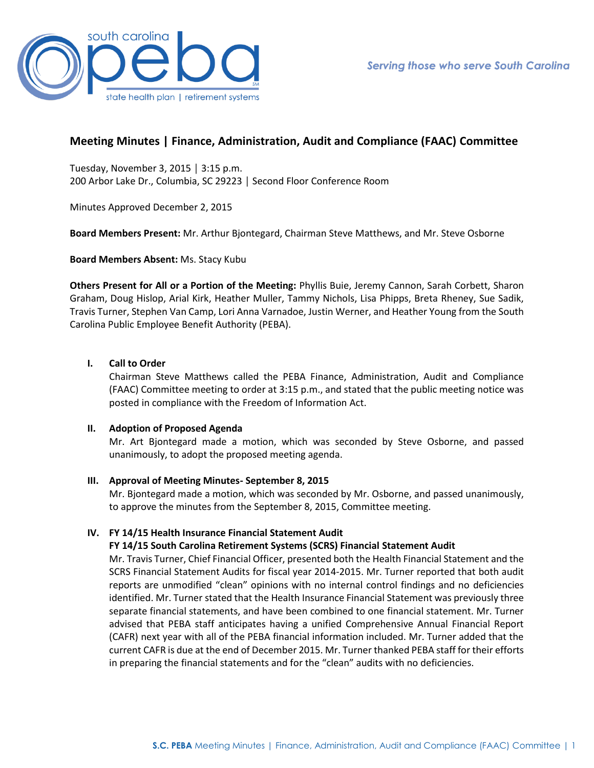

# **Meeting Minutes | Finance, Administration, Audit and Compliance (FAAC) Committee**

Tuesday, November 3, 2015 │ 3:15 p.m. 200 Arbor Lake Dr., Columbia, SC 29223 │ Second Floor Conference Room

Minutes Approved December 2, 2015

**Board Members Present:** Mr. Arthur Bjontegard, Chairman Steve Matthews, and Mr. Steve Osborne

**Board Members Absent:** Ms. Stacy Kubu

**Others Present for All or a Portion of the Meeting:** Phyllis Buie, Jeremy Cannon, Sarah Corbett, Sharon Graham, Doug Hislop, Arial Kirk, Heather Muller, Tammy Nichols, Lisa Phipps, Breta Rheney, Sue Sadik, Travis Turner, Stephen Van Camp, Lori Anna Varnadoe, Justin Werner, and Heather Young from the South Carolina Public Employee Benefit Authority (PEBA).

# **I. Call to Order**

Chairman Steve Matthews called the PEBA Finance, Administration, Audit and Compliance (FAAC) Committee meeting to order at 3:15 p.m., and stated that the public meeting notice was posted in compliance with the Freedom of Information Act.

## **II. Adoption of Proposed Agenda**

Mr. Art Bjontegard made a motion, which was seconded by Steve Osborne, and passed unanimously, to adopt the proposed meeting agenda.

## **III. Approval of Meeting Minutes- September 8, 2015**

Mr. Bjontegard made a motion, which was seconded by Mr. Osborne, and passed unanimously, to approve the minutes from the September 8, 2015, Committee meeting.

## **IV. FY 14/15 Health Insurance Financial Statement Audit**

## **FY 14/15 South Carolina Retirement Systems (SCRS) Financial Statement Audit**

Mr. Travis Turner, Chief Financial Officer, presented both the Health Financial Statement and the SCRS Financial Statement Audits for fiscal year 2014-2015. Mr. Turner reported that both audit reports are unmodified "clean" opinions with no internal control findings and no deficiencies identified. Mr. Turner stated that the Health Insurance Financial Statement was previously three separate financial statements, and have been combined to one financial statement. Mr. Turner advised that PEBA staff anticipates having a unified Comprehensive Annual Financial Report (CAFR) next year with all of the PEBA financial information included. Mr. Turner added that the current CAFR is due at the end of December 2015. Mr. Turner thanked PEBA staff for their efforts in preparing the financial statements and for the "clean" audits with no deficiencies.